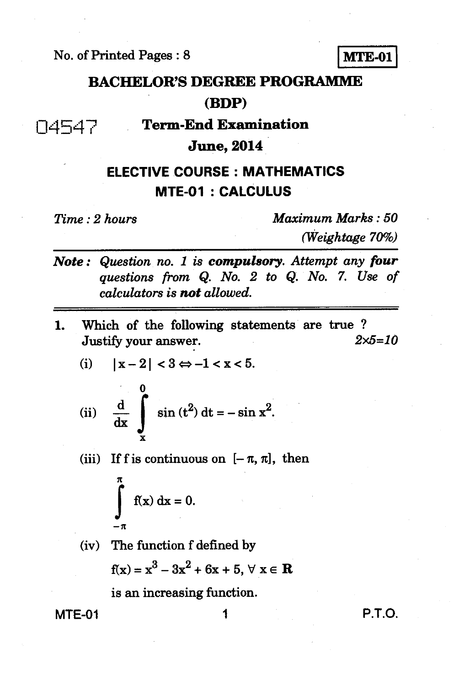No. of Printed Pages : 8 **MTE-01** 

# **BACHELOR'S DEGREE PROGRAMME (BDP)**

04547 **Term-End Examination** 

## **June, 2014**

### **ELECTIVE COURSE : MATHEMATICS MTE-01 : CALCULUS**

*Time : 2 hours Maximum Marks : 50 (Weightage 70%)* 

- *Note : Question no. 1 is compulsory. Attempt any* **four**  *questions from Q. No. 2 to Q. No. 7. Use of calculators is not allowed.*
- **1.** Which of the following statements are true ?<br>  $2 \times 5 = 10$ **Justify your answer.**

(i) 
$$
|x-2| < 3 \Leftrightarrow -1 < x < 5
$$
.

(ii) 
$$
\frac{d}{dx} \int_{x}^{\infty} \sin(t^2) dt = -\sin x^2
$$
.

(iii) If f is continuous on  $[-\pi, \pi]$ , then

$$
\int_{-\pi}^{\pi} f(x) dx = 0.
$$

**(iv) The function f defined by**   $f(x) = x^3 - 3x^2 + 6x + 5, \forall x \in \mathbb{R}$ 

**is an increasing function.** 

**MTE-01** 1 **P.T.O.**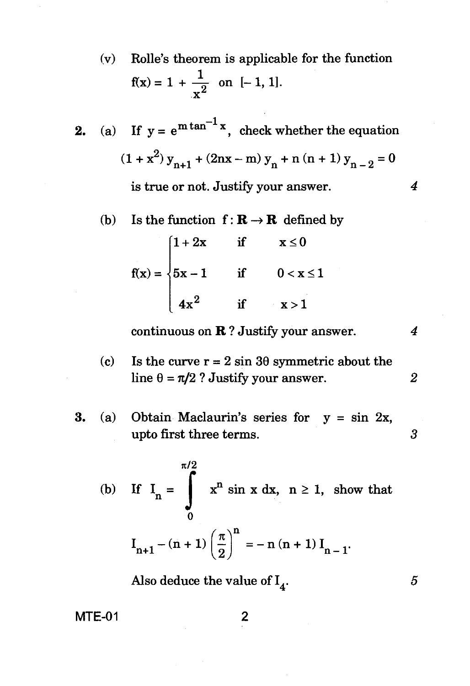- (v) Rolle's theorem is applicable for the function  $f(x) = 1 + \frac{1}{2}$  on [-1, 1].  $\mathbf{x}^{\mathbf{z}}$
- **2.** (a) If  $y = e^{m \tan^{-1} x}$ , check whether the equation  $(1 + x^2) y_{n+1} + (2nx - m) y_n + n (n + 1) y_{n-2} = 0$ is true or not. Justify your answer. *4* 
	- (b) Is the function  $f: \mathbf{R} \to \mathbf{R}$  defined by

$$
f(x) = \begin{cases} 1+2x & \text{if } x \le 0 \\ 5x-1 & \text{if } 0 < x \le 1 \\ 4x^2 & \text{if } x > 1 \end{cases}
$$

continuous on R ? Justify your answer. *4* 

- (c) Is the curve  $r = 2 \sin 3\theta$  symmetric about the line  $\theta = \pi/2$  ? Justify your answer. 2
- **3.** (a) Obtain Maclaurin's series for y = sin 2x, upto first three terms. 3

(b) If 
$$
I_n = \int_0^{\pi/2} x^n \sin x \, dx
$$
,  $n \ge 1$ , show that  

$$
I_{n+1} - (n+1) \left(\frac{\pi}{2}\right)^n = -n(n+1) I_{n-1}.
$$

Also deduce the value of  $I_4$ .

MTE-01

5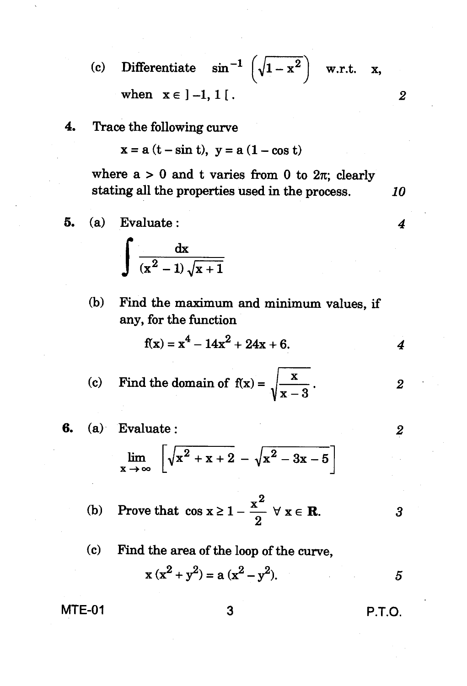(c) Differentiate  $\sin^{-1} \left( \sqrt{1-x^2} \right)$  w.r.t. x, when  $x \in ]-1, 1[$ .

**4. Trace the following curve** 

 $x = a (t - \sin t), y = a (1 - \cos t)$ 

where  $a > 0$  and t varies from 0 to  $2\pi$ ; clearly **stating all the properties used in the process.** *10* 

5. (a) Evaluate : 
$$
\int \frac{dx}{(x^2 - 1)\sqrt{x + 1}}
$$

**(b) Find the maximum and minimum values, if any, for the function** 

$$
f(x) = x^4 - 14x^2 + 24x + 6.
$$

(c) Find the domain of 
$$
f(x) = \sqrt{\frac{x}{x-3}}
$$
.

6. (a) Evaluate :  

$$
\lim_{x \to \infty} \left[ \sqrt{x^2 + x + 2} - \sqrt{x^2 - 3x - 5} \right]
$$

(b) Prove that 
$$
\cos x \ge 1 - \frac{x^2}{2} \quad \forall \ x \in \mathbb{R}
$$
.

**(c) Find the area of the loop of the curve,**   $x (x^{2} + y^{2}) = a (x^{2} - y^{2}).$  5

**MTE-01 3 P.T.O.** 

$$
\mathbf{a}\left(\mathbf{x}\right)
$$

*2* 

 $\overline{2}$ 

*3* 

*4*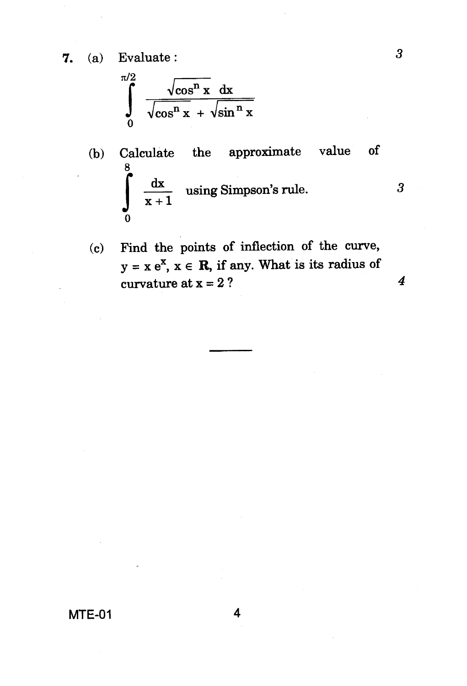**7.** (a) Evaluate :

$$
\int_{0}^{\pi/2} \frac{\sqrt{\cos^{n} x} dx}{\sqrt{\cos^{n} x} + \sqrt{\sin^{n} x}}
$$

(b) Calculate the approximate value of 
$$
\frac{8}{x+1}
$$
 using Simpson's rule. 3

(c) Find the points of inflection of the curve,  $y = x e^x$ ,  $x \in \mathbb{R}$ , if any. What is its radius of curvature at  $x = 2$  ?  $4$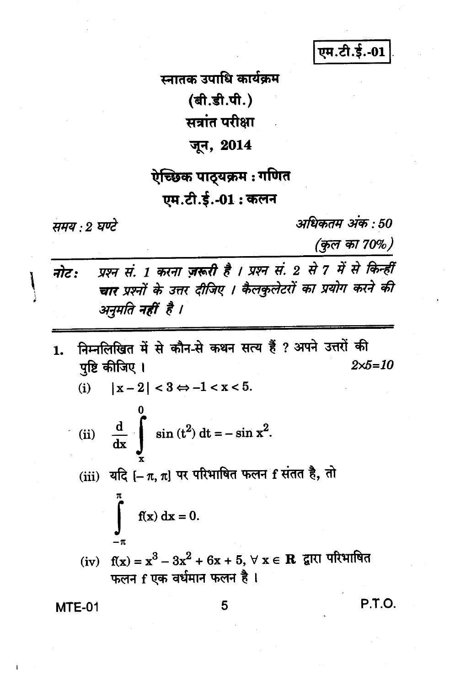एम.टी.ई.-01

स्नातक उपाधि कार्यकम (बी.डी.पी.)

सत्रांत परीक्षा

#### जून, 2014

# ऐच्छिक पाठ्यक्रम : गणित एम.टी.ई.-01: कलन

#### समय : 2 घण्टे

अधिकतम् अंक : 50

(कुल का 70%)

प्रश्न सं. 1 करना ज़रूरी है । प्रश्न सं. 2 से 7 में से किन्हीं नोट: चार प्रश्नों के उत्तर दीजिए । कैलकुलेटरों का प्रयोग करने की अनुमति नहीं है ।

निम्नलिखित में से कौन-से कथन सत्य हैं ? अपने उत्तरों की 1. पुष्टि कीजिए ।  $2 \times 5 = 10$ 

\n- (i) 
$$
|x-2| < 3 \Leftrightarrow -1 < x < 5
$$
.
\n- (ii)  $\frac{d}{dx} \int_{x}^{0} \sin(t^2) \, dt = -\sin x^2$ .
\n- (iii)  $\overline{u}R = -\pi, \pi$  or  $\pi$  +  $\pi$  +  $\pi$  +  $\pi$  +  $\pi$  +  $\pi$  +  $\pi$  +  $\pi$  +  $\pi$  +  $\pi$  +  $\pi$  +  $\pi$  +  $\pi$  +  $\pi$  +  $\pi$  +  $\pi$  +  $\pi$  +  $\pi$  +  $\pi$  +  $\pi$  +  $\pi$  +  $\pi$  +  $\pi$  +  $\pi$  +  $\pi$  +  $\pi$  +  $\pi$  +  $\pi$  +  $\pi$  +  $\pi$  +  $\pi$  +  $\pi$  +  $\pi$  +  $\pi$  +  $\pi$  +  $\pi$  +  $\pi$  +  $\pi$  +  $\pi$  +  $\pi$  +  $\pi$  +  $\pi$  +  $\pi$  +  $\pi$  +  $\pi$  +  $\pi$  +  $\pi$  +  $\pi$  +  $\pi$  +  $\pi$  +  $\pi$  +  $\pi$  +  $\pi$  +  $\pi$  +  $\pi$  +  $\pi$  +  $\pi$  +  $\pi$  +  $\pi$

**MTE-01** 

5

P.T.O.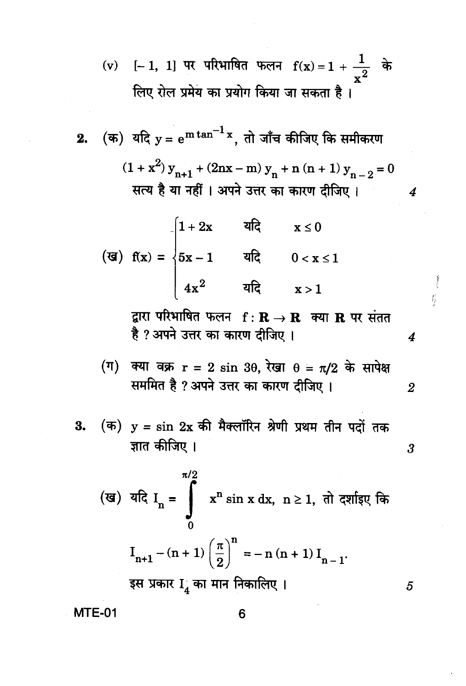(v) [- 1, 1] पर परिभाषित फलन 
$$
f(x) = 1 + \frac{1}{x^2}
$$
 के  
लिए रोल प्रमेय का प्रयोग किया जा सकता है |

2. (क) यदि 
$$
y = e^{m \tan^{-1} x}
$$
, तो जाँच कीजिए कि समीकरण  
\n $(1 + x^2)y_{n+1} + (2nx - m)y_n + n (n + 1)y_{n-2} = 0$   
\nसत्य है या नहीं | अपने उत्तर का कारण दीजिए |  
\n4  
\n $\begin{cases}\n1 + 2x & \text{and} & x \le 0 \\
5x - 1 & \text{and} & 0 < x \le 1 \\
4x^2 & \text{and} & x > 1\n\end{cases}$ 

द्वारा परिभाषित फलन f: R → R क्या R पर संतत है ? अपने उत्तर का कारण दीजिए।

Ï  $\int_{\mathbb{R}}$ 

 $\overline{\mathbf{4}}$ 

 $\boldsymbol{3}$ 

 $\overline{5}$ 

(ग) क्या वक्र 
$$
r = 2 \sin 3\theta
$$
, रेखा  $\theta = \pi/2$  के सापेक्ष  
सममित है ? अपने उत्तर का कारण दीजिए ।

(ख) यदि 
$$
I_n = \int_{0}^{\pi/2} x^n \sin x \, dx
$$
,  $n \ge 1$ , तो दर्शाइए कि
$$
I_{n+1} - (n+1) \left(\frac{\pi}{2}\right)^n = -n(n+1) I_{n-1}.
$$
इस प्रकार I<sub>4</sub> का मान निकालिए ।

**MTE-01**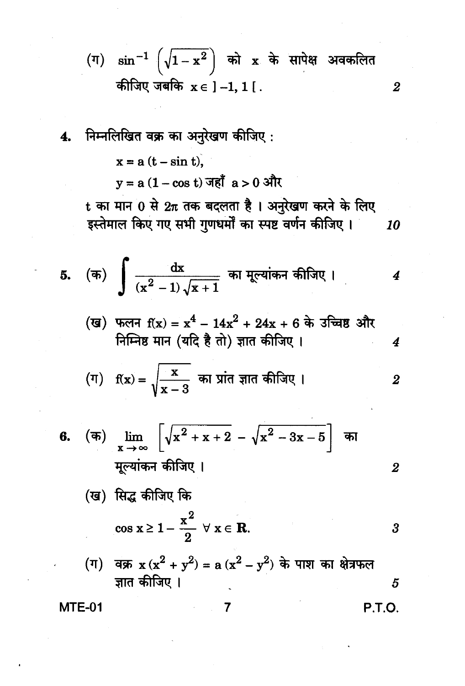(ग) 
$$
\sin^{-1}\left(\sqrt{1-x^2}\right)
$$
 को x के सापेक्ष अवकलित   
कीजिए जबकि x ∈ ]−1, 1 [ .

4. निम्नलिखित वक्र का अनुरेखण कीजिए :

\n
$$
x = a(t - \sin t),
$$

\n
$$
y = a(1 - \cos t) \text{ and } a > 0 \text{ and } b
$$

\n
$$
t = a(t - \sin t),
$$

\n
$$
y = a(1 - \cos t) \text{ and } a > 0 \text{ and } b
$$

\n
$$
t = a(t - \sin t),
$$

\n
$$
y = a(1 - \cos t) \text{ and } b
$$

\n
$$
t = a(t - \sin t),
$$

\n
$$
y = a(t - \sin t),
$$

\n
$$
y = a(t - \sin t),
$$

\n
$$
y = a(t - \sin t),
$$

\n
$$
y = a(t - \sin t),
$$

\n
$$
y = a(t - \sin t),
$$

\n
$$
y = a(t - \sin t),
$$

\n
$$
y = a(t - \sin t),
$$

\n
$$
y = a(t - \sin t),
$$

\n
$$
y = a(t - \sin t),
$$

\n
$$
y = a(t - \sin t),
$$

\n
$$
y = a(t - \sin t),
$$

\n
$$
y = a(t - \sin t),
$$

\n
$$
y = a(t - \sin t),
$$

\n
$$
y = a(t - \sin t),
$$

\n
$$
y = a(t - \sin t),
$$

\n
$$
y = a(t - \sin t),
$$

\n
$$
y = a(t - \sin t),
$$

\n
$$
y = a(t - \sin t),
$$

\n
$$
y = a(t - \sin t),
$$

\n
$$
y = a(t - \sin t),
$$

\n
$$
y = a(t - \sin t),
$$

\n
$$
y = a(t - \sin t),
$$

\n
$$
y = a(t - \sin t),
$$

\n
$$
y = a(t - \sin t),
$$

\n

6. (क) 
$$
\lim_{x \to \infty} \left[ \sqrt{x^2 + x + 2} - \sqrt{x^2 - 3x - 5} \right]
$$
 का   
मूल्यांकन कीजिए ।

(ख) सिद्ध कीजिए कि
$$
\cos x ≥ 1 - \frac{x^2}{2} \quad \forall \ x ∈ R.
$$

(ग) वक्र 
$$
x(x^2 + y^2) = a(x^2 - y^2)
$$
 के पाश का क्षेत्रफल  
ज्ञात कीजिए ।

 $\overline{7}$ 

**MTE-01** 

**P.T.O.** 

 $\boldsymbol{2}$ 

 $\overline{\mathbf{2}}$